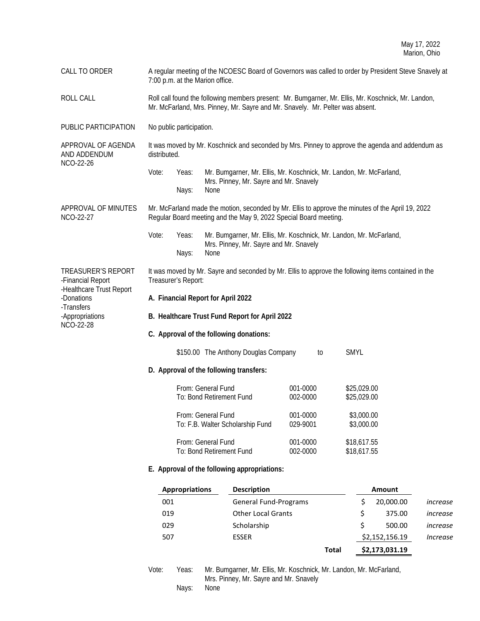CALL TO ORDER A regular meeting of the NCOESC Board of Governors was called to order by President Steve Snavely at 7:00 p.m. at the Marion office. ROLL CALL CALL Roll call found the following members present: Mr. Bumgarner, Mr. Ellis, Mr. Koschnick, Mr. Landon, Mr. McFarland, Mrs. Pinney, Mr. Sayre and Mr. Snavely. Mr. Pelter was absent. PUBLIC PARTICIPATION No public participation. APPROVAL OF AGENDA AND ADDENDUM NCO-22-26 It was moved by Mr. Koschnick and seconded by Mrs. Pinney to approve the agenda and addendum as distributed. Vote: Yeas: Mr. Bumgarner, Mr. Ellis, Mr. Koschnick, Mr. Landon, Mr. McFarland, Mrs. Pinney, Mr. Sayre and Mr. Snavely Nays: None APPROVAL OF MINUTES NCO-22-27 Mr. McFarland made the motion, seconded by Mr. Ellis to approve the minutes of the April 19, 2022 Regular Board meeting and the May 9, 2022 Special Board meeting. Vote: Yeas: Mr. Bumgarner, Mr. Ellis, Mr. Koschnick, Mr. Landon, Mr. McFarland, Mrs. Pinney, Mr. Sayre and Mr. Snavely Nays: None TREASURER'S REPORT -Financial Report -Healthcare Trust Report -Donations -Transfers -Appropriations NCO-22-28 It was moved by Mr. Sayre and seconded by Mr. Ellis to approve the following items contained in the Treasurer's Report: **A. Financial Report for April 2022 B. Healthcare Trust Fund Report for April 2022 C. Approval of the following donations:** \$150.00 The Anthony Douglas Company to SMYL **D. Approval of the following transfers:** From: General Fund 001-0000 \$25,029.00 To: Bond Retirement Fund 002-0000 \$25,029.00 From: General Fund 001-0000 \$3,000.00 To: F.B. Walter Scholarship Fund 029-9001 \$3,000.00 From: General Fund 001-0000 \$18,617.55 To: Bond Retirement Fund 002-0000 \$18,617.55 **E. Approval of the following appropriations: Appropriations Description Amount**  001 General Fund-Programs \$ 20,000.00 *increase* 019 Other Local Grants \$ 375.00 *increase* 029 Scholarship \$ 500.00 *increase*

> Vote: Yeas: Mr. Bumgarner, Mr. Ellis, Mr. Koschnick, Mr. Landon, Mr. McFarland, Mrs. Pinney, Mr. Sayre and Mr. Snavely Nays: None

507 ESSER \$2,152,156.19 *Increase*

**Total \$2,173,031.19**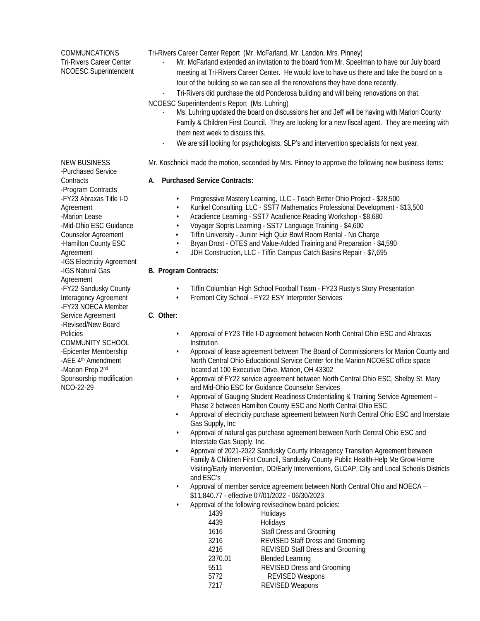COMMUNCATIONS Tri-Rivers Career Center NCOESC Superintendent

NEW BUSINESS -Purchased Service Tri-Rivers Career Center Report (Mr. McFarland, Mr. Landon, Mrs. Pinney)

- Mr. McFarland extended an invitation to the board from Mr. Speelman to have our July board meeting at Tri-Rivers Career Center. He would love to have us there and take the board on a tour of the building so we can see all the renovations they have done recently.
- Tri-Rivers did purchase the old Ponderosa building and will being renovations on that.

NCOESC Superintendent's Report (Ms. Luhring)

- Ms. Luhring updated the board on discussions her and Jeff will be having with Marion County Family & Children First Council. They are looking for a new fiscal agent. They are meeting with them next week to discuss this.
- We are still looking for psychologists, SLP's and intervention specialists for next year.

Mr. Koschnick made the motion, seconded by Mrs. Pinney to approve the following new business items:

# **A. Purchased Service Contracts:**

- Progressive Mastery Learning, LLC Teach Better Ohio Project \$28,500
- Kunkel Consulting, LLC SST7 Mathematics Professional Development \$13,500
- Acadience Learning SST7 Acadience Reading Workshop \$8,680
- Voyager Sopris Learning SST7 Language Training \$4,600
- Tiffin University Junior High Quiz Bowl Room Rental No Charge
- Bryan Drost OTES and Value-Added Training and Preparation \$4,590
- JDH Construction, LLC Tiffin Campus Catch Basins Repair \$7,695

## **B. Program Contracts:**

- Tiffin Columbian High School Football Team FY23 Rusty's Story Presentation
- Fremont City School FY22 ESY Interpreter Services

# **C. Other:**

- Approval of FY23 Title I-D agreement between North Central Ohio ESC and Abraxas **Institution**
- Approval of lease agreement between The Board of Commissioners for Marion County and North Central Ohio Educational Service Center for the Marion NCOESC office space located at 100 Executive Drive, Marion, OH 43302
- Approval of FY22 service agreement between North Central Ohio ESC, Shelby St. Mary and Mid-Ohio ESC for Guidance Counselor Services
- Approval of Gauging Student Readiness Credentialing & Training Service Agreement Phase 2 between Hamilton County ESC and North Central Ohio ESC
- Approval of electricity purchase agreement between North Central Ohio ESC and Interstate Gas Supply, Inc
- Approval of natural gas purchase agreement between North Central Ohio ESC and Interstate Gas Supply, Inc.
- Approval of 2021-2022 Sandusky County Interagency Transition Agreement between Family & Children First Council, Sandusky County Public Health-Help Me Grow Home Visiting/Early Intervention, DD/Early Interventions, GLCAP, City and Local Schools Districts and ESC's
- Approval of member service agreement between North Central Ohio and NOECA \$11,840.77 - effective 07/01/2022 - 06/30/2023
- Approval of the following revised/new board policies:

| 1439    | Holidays                                |
|---------|-----------------------------------------|
| 4439    | Holidays                                |
| 1616    | Staff Dress and Grooming                |
| 3216    | <b>REVISED Staff Dress and Grooming</b> |
| 4216    | <b>REVISED Staff Dress and Grooming</b> |
| 2370.01 | <b>Blended Learning</b>                 |
| 5511    | <b>REVISED Dress and Grooming</b>       |
| 5772    | <b>REVISED Weapons</b>                  |
| 7217    | <b>REVISED Weapons</b>                  |
|         |                                         |

**Contracts** -Program Contracts -FY23 Abraxas Title I-D Agreement -Marion Lease -Mid-Ohio ESC Guidance Counselor Agreement -Hamilton County ESC Agreement -IGS Electricity Agreement -IGS Natural Gas Agreement -FY22 Sandusky County Interagency Agreement -FY23 NOECA Member Service Agreement -Revised/New Board Policies COMMUNITY SCHOOL -Epicenter Membership -AEE 4<sup>th</sup> Amendment -Marion Prep 2nd Sponsorship modification NCO-22-29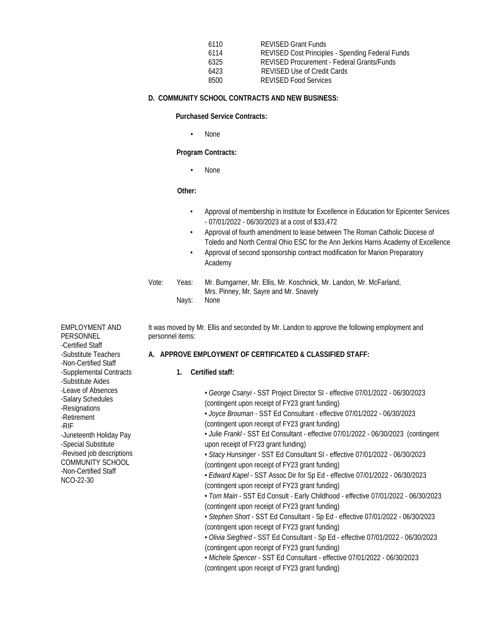| 6110 | <b>REVISED Grant Funds</b>                              |
|------|---------------------------------------------------------|
| 6114 | <b>REVISED Cost Principles - Spending Federal Funds</b> |
| 6325 | REVISED Procurement - Federal Grants/Funds              |
| 6423 | <b>REVISED Use of Credit Cards</b>                      |
| 8500 | <b>REVISED Food Services</b>                            |

## **D. COMMUNITY SCHOOL CONTRACTS AND NEW BUSINESS:**

**Purchased Service Contracts:**

• None

### **Program Contracts:**

• None

#### **Other:**

- Approval of membership in Institute for Excellence in Education for Epicenter Services - 07/01/2022 - 06/30/2023 at a cost of \$33,472
- Approval of fourth amendment to lease between The Roman Catholic Diocese of Toledo and North Central Ohio ESC for the Ann Jerkins Harris Academy of Excellence
- Approval of second sponsorship contract modification for Marion Preparatory Academy

# Vote: Yeas: Mr. Bumgarner, Mr. Ellis, Mr. Koschnick, Mr. Landon, Mr. McFarland, Mrs. Pinney, Mr. Sayre and Mr. Snavely Nays: None

It was moved by Mr. Ellis and seconded by Mr. Landon to approve the following employment and personnel items:

## **A. APPROVE EMPLOYMENT OF CERTIFICATED & CLASSIFIED STAFF:**

## **1. Certified staff:**

• *George Csanyi* - SST Project Director SI - effective 07/01/2022 - 06/30/2023 (contingent upon receipt of FY23 grant funding)

• *Joyce Brouman* - SST Ed Consultant - effective 07/01/2022 - 06/30/2023 (contingent upon receipt of FY23 grant funding)

• *Julie Frankl* - SST Ed Consultant - effective 07/01/2022 - 06/30/2023 (contingent upon receipt of FY23 grant funding)

• *Stacy Hunsinger* - SST Ed Consultant SI - effective 07/01/2022 - 06/30/2023 (contingent upon receipt of FY23 grant funding)

• *Edward Kapel* - SST Assoc Dir for Sp Ed - effective 07/01/2022 - 06/30/2023 (contingent upon receipt of FY23 grant funding)

• *Tom Main* - SST Ed Consult - Early Childhood - effective 07/01/2022 - 06/30/2023 (contingent upon receipt of FY23 grant funding)

• *Stephen Short* - SST Ed Consultant - Sp Ed - effective 07/01/2022 - 06/30/2023 (contingent upon receipt of FY23 grant funding)

• *Olivia Siegfried* - SST Ed Consultant - Sp Ed - effective 07/01/2022 - 06/30/2023 (contingent upon receipt of FY23 grant funding)

• *Michele Spencer* - SST Ed Consultant - effective 07/01/2022 - 06/30/2023 (contingent upon receipt of FY23 grant funding)

EMPLOYMENT AND PERSONNEL -Certified Staff -Substitute Teachers -Non-Certified Staff -Supplemental Contracts -Substitute Aides -Leave of Absences -Salary Schedules -Resignations -Retirement -RIF -Juneteenth Holiday Pay -Special Substitute -Revised job descriptions COMMUNITY SCHOOL -Non-Certified Staff NCO-22-30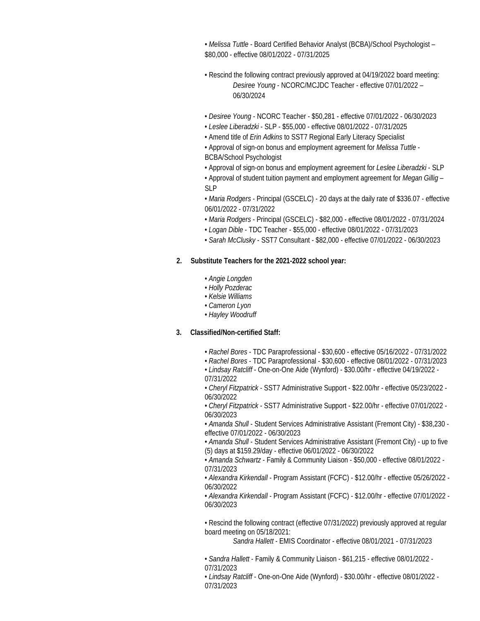• *Melissa Tuttle* - Board Certified Behavior Analyst (BCBA)/School Psychologist – \$80,000 - effective 08/01/2022 - 07/31/2025

- Rescind the following contract previously approved at 04/19/2022 board meeting: *Desiree Young* - NCORC/MCJDC Teacher - effective 07/01/2022 – 06/30/2024
- *Desiree Young* NCORC Teacher \$50,281 effective 07/01/2022 06/30/2023
- *Leslee Liberadzki* SLP \$55,000 effective 08/01/2022 07/31/2025
- Amend title of *Erin Adkins* to SST7 Regional Early Literacy Specialist

• Approval of sign-on bonus and employment agreement for *Melissa Tuttle* - BCBA/School Psychologist

- Approval of sign-on bonus and employment agreement for *Leslee Liberadzki* SLP
- Approval of student tuition payment and employment agreement for *Megan Gillig* SLP

• *Maria Rodgers* - Principal (GSCELC) - 20 days at the daily rate of \$336.07 - effective 06/01/2022 - 07/31/2022

- *Maria Rodgers* Principal (GSCELC) \$82,000 effective 08/01/2022 07/31/2024
- *Logan Dible* TDC Teacher \$55,000 effective 08/01/2022 07/31/2023
- *Sarah McClusky* SST7 Consultant \$82,000 effective 07/01/2022 06/30/2023

#### **2. Substitute Teachers for the 2021-2022 school year:**

- *Angie Longden*
- *Holly Pozderac*
- *Kelsie Williams*
- *Cameron Lyon*
- *Hayley Woodruff*

## **3. Classified/Non-certified Staff:**

- *Rachel Bores* TDC Paraprofessional \$30,600 effective 05/16/2022 07/31/2022
- *Rachel Bores* TDC Paraprofessional \$30,600 effective 08/01/2022 07/31/2023
- *Lindsay Ratcliff* One-on-One Aide (Wynford) \$30.00/hr effective 04/19/2022 07/31/2022

*• Cheryl Fitzpatrick* - SST7 Administrative Support - \$22.00/hr - effective 05/23/2022 - 06/30/2022

*• Cheryl Fitzpatrick* - SST7 Administrative Support - \$22.00/hr - effective 07/01/2022 - 06/30/2023

• *Amanda Shull* - Student Services Administrative Assistant (Fremont City) - \$38,230 effective 07/01/2022 - 06/30/2023

*• Amanda Shull* - Student Services Administrative Assistant (Fremont City) - up to five (5) days at \$159.29/day - effective 06/01/2022 - 06/30/2022

• *Amanda Schwartz* - Family & Community Liaison - \$50,000 - effective 08/01/2022 - 07/31/2023

• *Alexandra Kirkendall* - Program Assistant (FCFC) - \$12.00/hr - effective 05/26/2022 - 06/30/2022

• *Alexandra Kirkendall* - Program Assistant (FCFC) - \$12.00/hr - effective 07/01/2022 - 06/30/2023

*•* Rescind the following contract (effective 07/31/2022) previously approved at regular board meeting on 05/18/2021:

*Sandra Hallett* - EMIS Coordinator - effective 08/01/2021 - 07/31/2023

• *Sandra Hallett* - Family & Community Liaison - \$61,215 - effective 08/01/2022 - 07/31/2023

• *Lindsay Ratcliff* - One-on-One Aide (Wynford) - \$30.00/hr - effective 08/01/2022 - 07/31/2023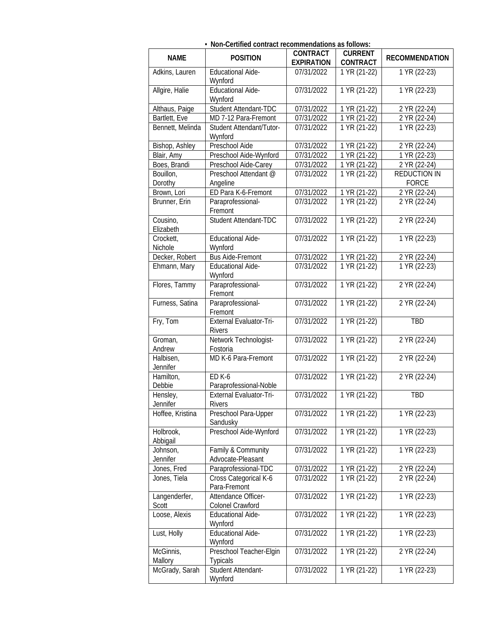| • Non-Certified contract recommendations as follows: |                                            |                                 |                                   |                       |
|------------------------------------------------------|--------------------------------------------|---------------------------------|-----------------------------------|-----------------------|
| <b>NAME</b>                                          | <b>POSITION</b>                            | <b>CONTRACT</b>                 | <b>CURRENT</b>                    | <b>RECOMMENDATION</b> |
| Adkins, Lauren                                       | <b>Educational Aide-</b>                   | <b>EXPIRATION</b><br>07/31/2022 | <b>CONTRACT</b><br>1 YR (21-22)   | 1 YR (22-23)          |
| Allgire, Halie                                       | Wynford<br><b>Educational Aide-</b>        | 07/31/2022                      | $1 YR (21-22)$                    | 1 YR (22-23)          |
| Althaus, Paige                                       | Wynford<br>Student Attendant-TDC           | 07/31/2022                      | 1 YR (21-22)                      | 2 YR (22-24)          |
| Bartlett, Eve                                        | MD 7-12 Para-Fremont                       | 07/31/2022                      | 1 YR (21-22)                      | 2 YR (22-24)          |
| Bennett, Melinda                                     | Student Attendant/Tutor-                   | 07/31/2022                      | 1 YR (21-22)                      | 1 YR (22-23)          |
|                                                      | Wynford                                    |                                 |                                   |                       |
| Bishop, Ashley                                       | Preschool Aide                             | 07/31/2022                      | 1 YR (21-22)                      | 2 YR (22-24)          |
| Blair, Amy                                           | Preschool Aide-Wynford                     | 07/31/2022                      | 1 YR (21-22)                      | 1 YR (22-23)          |
| Boes, Brandi                                         | Preschool Aide-Carey                       | 07/31/2022                      | 1 YR (21-22)                      | 2 YR (22-24)          |
| Bouillon,                                            | Preschool Attendant @                      | 07/31/2022                      | 1 YR (21-22)                      | <b>REDUCTION IN</b>   |
| Dorothy                                              | Angeline                                   |                                 |                                   | <b>FORCE</b>          |
| Brown, Lori                                          | ED Para K-6-Fremont                        | 07/31/2022                      | 1 YR (21-22)                      | 2 YR (22-24)          |
| Brunner, Erin                                        | Paraprofessional-<br>Fremont               | 07/31/2022                      | $\overline{1}$ YR (21-22)         | 2 YR (22-24)          |
| Cousino,                                             | Student Attendant-TDC                      | 07/31/2022                      | 1 YR (21-22)                      | 2 YR (22-24)          |
| Elizabeth                                            |                                            |                                 |                                   |                       |
| Crockett,                                            | <b>Educational Aide-</b>                   | 07/31/2022                      | 1 YR (21-22)                      | 1 YR (22-23)          |
| Nichole                                              | Wynford                                    |                                 |                                   |                       |
| Decker, Robert                                       | <b>Bus Aide-Fremont</b>                    | 07/31/2022                      | $\overline{1}$ YR (21-22)         | 2 YR (22-24)          |
| Ehmann, Mary                                         | <b>Educational Aide-</b>                   | 07/31/2022                      | $\overline{1}$ YR (21-22)         | 1 YR (22-23)          |
|                                                      | Wynford                                    |                                 |                                   |                       |
| Flores, Tammy                                        | Paraprofessional-<br>Fremont               | 07/31/2022                      | 1 YR (21-22)                      | 2 YR (22-24)          |
| Furness, Satina                                      | Paraprofessional-<br>Fremont               | 07/31/2022                      | 1 YR (21-22)                      | 2 YR (22-24)          |
| Fry, Tom                                             | External Evaluator-Tri-<br><b>Rivers</b>   | 07/31/2022                      | 1 YR (21-22)                      | <b>TBD</b>            |
| Groman,<br>Andrew                                    | Network Technologist-<br>Fostoria          | 07/31/2022                      | 1 YR (21-22)                      | 2 YR (22-24)          |
| Halbisen,<br>Jennifer                                | MD K-6 Para-Fremont                        | 07/31/2022                      | 1 YR (21-22)                      | 2 YR (22-24)          |
| Hamilton,                                            | <b>ED K-6</b>                              | 07/31/2022                      | 1 YR (21-22)                      | 2 YR (22-24)          |
| Debbie                                               | Paraprofessional-Noble                     |                                 |                                   |                       |
| Hensley,<br>Jennifer                                 | External Evaluator-Tri-<br><b>Rivers</b>   | 07/31/2022                      | $\overline{1 \text{ YR}}$ (21-22) | TBD                   |
| Hoffee, Kristina                                     | Preschool Para-Upper<br>Sandusky           | 07/31/2022                      | 1 YR (21-22)                      | 1 YR (22-23)          |
| Holbrook,<br>Abbigail                                | Preschool Aide-Wynford                     | 07/31/2022                      | 1 YR (21-22)                      | 1 YR (22-23)          |
| Johnson,                                             | Family & Community                         | 07/31/2022                      | 1 YR (21-22)                      | 1 YR (22-23)          |
| Jennifer                                             | Advocate-Pleasant                          |                                 |                                   |                       |
| Jones, Fred                                          | Paraprofessional-TDC                       | 07/31/2022                      | 1 YR (21-22)                      | 2 YR (22-24)          |
| Jones, Tiela                                         | Cross Categorical K-6<br>Para-Fremont      | 07/31/2022                      | 1 YR (21-22)                      | 2 YR (22-24)          |
| Langenderfer,<br>Scott                               | Attendance Officer-<br>Colonel Crawford    | 07/31/2022                      | 1 YR (21-22)                      | 1 YR (22-23)          |
| Loose, Alexis                                        | <b>Educational Aide-</b><br>Wynford        | 07/31/2022                      | 1 YR (21-22)                      | 1 YR (22-23)          |
| Lust, Holly                                          | <b>Educational Aide-</b><br>Wynford        | 07/31/2022                      | 1 YR (21-22)                      | 1 YR (22-23)          |
| McGinnis,<br>Mallory                                 | Preschool Teacher-Elgin<br><b>Typicals</b> | 07/31/2022                      | 1 YR (21-22)                      | 2 YR (22-24)          |
| McGrady, Sarah                                       | Student Attendant-<br>Wynford              | 07/31/2022                      | 1 YR (21-22)                      | 1 YR (22-23)          |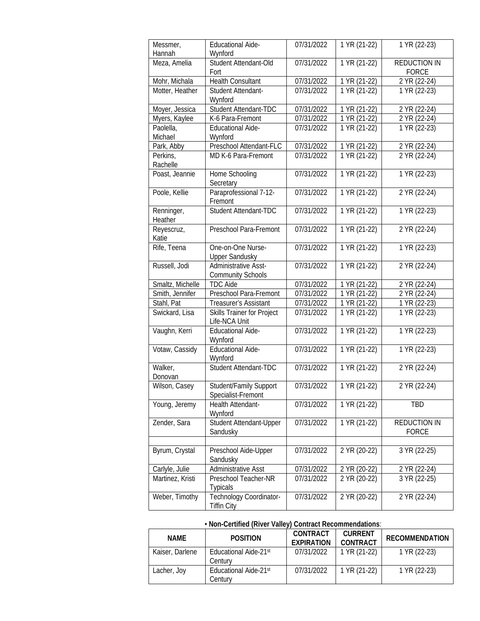| Messmer,<br>Hannah    | <b>Educational Aide-</b><br>Wynford                     | 07/31/2022 | 1 YR (21-22)              | 1 YR (22-23)                        |
|-----------------------|---------------------------------------------------------|------------|---------------------------|-------------------------------------|
| Meza, Amelia          | Student Attendant-Old<br>Fort                           | 07/31/2022 | 1 YR (21-22)              | <b>REDUCTION IN</b><br><b>FORCE</b> |
| Mohr, Michala         | <b>Health Consultant</b>                                | 07/31/2022 | 1 YR (21-22)              | 2 YR (22-24)                        |
| Motter, Heather       | Student Attendant-<br>Wynford                           | 07/31/2022 | 1 YR (21-22)              | 1 YR (22-23)                        |
| Moyer, Jessica        | Student Attendant-TDC                                   | 07/31/2022 | 1 YR (21-22)              | 2 YR (22-24)                        |
| Myers, Kaylee         | K-6 Para-Fremont                                        | 07/31/2022 | 1 YR (21-22)              | 2 YR (22-24)                        |
| Paolella,<br>Michael  | <b>Educational Aide-</b><br>Wynford                     | 07/31/2022 | 1 YR (21-22)              | 1 YR (22-23)                        |
| Park, Abby            | Preschool Attendant-FLC                                 | 07/31/2022 | 1 YR (21-22)              | 2 YR (22-24)                        |
| Perkins,<br>Rachelle  | MD K-6 Para-Fremont                                     | 07/31/2022 | 1 YR (21-22)              | 2 YR (22-24)                        |
| Poast, Jeannie        | Home Schooling<br>Secretary                             | 07/31/2022 | $1 YR (21-22)$            | 1 YR (22-23)                        |
| Poole, Kellie         | Paraprofessional 7-12-<br>Fremont                       | 07/31/2022 | 1 YR (21-22)              | 2 YR (22-24)                        |
| Renninger,<br>Heather | Student Attendant-TDC                                   | 07/31/2022 | 1 YR (21-22)              | 1 YR (22-23)                        |
| Reyescruz,<br>Katie   | Preschool Para-Fremont                                  | 07/31/2022 | 1 YR (21-22)              | 2 YR (22-24)                        |
| Rife, Teena           | One-on-One Nurse-<br><b>Upper Sandusky</b>              | 07/31/2022 | 1 YR (21-22)              | 1 YR (22-23)                        |
| Russell, Jodi         | <b>Administrative Asst-</b><br><b>Community Schools</b> | 07/31/2022 | 1 YR (21-22)              | $2$ YR (22-24)                      |
| Smaltz, Michelle      | <b>TDC Aide</b>                                         | 07/31/2022 | 1 YR (21-22)              | 2 YR (22-24)                        |
| Smith, Jennifer       | Preschool Para-Fremont                                  | 07/31/2022 | 1 YR (21-22)              | 2 YR (22-24)                        |
| Stahl, Pat            | Treasurer's Assistant                                   | 07/31/2022 | 1 YR (21-22)              | 1 YR (22-23)                        |
| Swickard, Lisa        | Skills Trainer for Project<br>Life-NCA Unit             | 07/31/2022 | 1 YR (21-22)              | 1 YR (22-23)                        |
| Vaughn, Kerri         | <b>Educational Aide-</b><br>Wynford                     | 07/31/2022 | 1 YR (21-22)              | 1 YR (22-23)                        |
| Votaw, Cassidy        | <b>Educational Aide-</b><br>Wynford                     | 07/31/2022 | 1 YR (21-22)              | 1 YR (22-23)                        |
| Walker,<br>Donovan    | Student Attendant-TDC                                   | 07/31/2022 | 1 YR (21-22)              | 2 YR (22-24)                        |
| Wilson, Casey         | Student/Family Support<br>Specialist-Fremont            | 07/31/2022 | $\overline{1}$ YR (21-22) | 2 YR (22-24)                        |
| Young, Jeremy         | Health Attendant-<br>Wynford                            | 07/31/2022 | 1 YR (21-22)              | <b>TBD</b>                          |
| Zender, Sara          | Student Attendant-Upper<br>Sandusky                     | 07/31/2022 | 1 YR (21-22)              | <b>REDUCTION IN</b><br><b>FORCE</b> |
| Byrum, Crystal        | Preschool Aide-Upper<br>Sandusky                        | 07/31/2022 | 2 YR (20-22)              | 3 YR (22-25)                        |
| Carlyle, Julie        | Administrative Asst                                     | 07/31/2022 | 2 YR (20-22)              | 2 YR (22-24)                        |
| Martinez, Kristi      | Preschool Teacher-NR<br><b>Typicals</b>                 | 07/31/2022 | 2 YR (20-22)              | 3 YR (22-25)                        |
| Weber, Timothy        | Technology Coordinator-<br><b>Tiffin City</b>           | 07/31/2022 | 2 YR (20-22)              | 2 YR (22-24)                        |

# • **Non-Certified (River Valley) Contract Recommendations**:

| <b>NAMF</b>     | <b>POSITION</b>                  | CONTRACT<br><b>FXPIRATION</b> | <b>CURRENT</b><br>CONTRACT | <b>RECOMMENDATION</b> |
|-----------------|----------------------------------|-------------------------------|----------------------------|-----------------------|
| Kaiser, Darlene | Educational Aide-21st<br>Century | 07/31/2022                    | 1 YR (21-22)               | 1 YR (22-23)          |
| Lacher, Joy     | Educational Aide-21st<br>Century | 07/31/2022                    | 1 YR (21-22)               | 1 YR (22-23)          |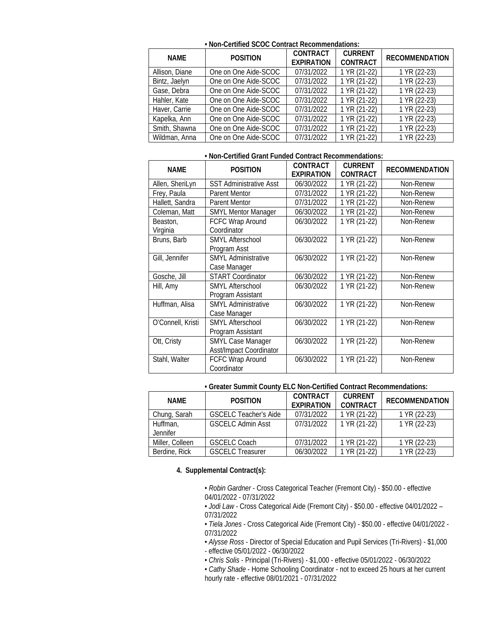| NAMF           | <b>POSITION</b>      | <b>CONTRACT</b><br><b>EXPIRATION</b> | <b>CURRENT</b><br><b>CONTRACT</b> | <b>RECOMMENDATION</b> |
|----------------|----------------------|--------------------------------------|-----------------------------------|-----------------------|
| Allison, Diane | One on One Aide-SCOC | 07/31/2022                           | 1 YR (21-22)                      | 1 YR (22-23)          |
| Bintz, Jaelyn  | One on One Aide-SCOC | 07/31/2022                           | 1 YR (21-22)                      | 1 YR (22-23)          |
| Gase, Debra    | One on One Aide-SCOC | 07/31/2022                           | 1 YR (21-22)                      | 1 YR (22-23)          |
| Hahler, Kate   | One on One Aide-SCOC | 07/31/2022                           | $\overline{1 \text{ YR}}$ (21-22) | 1 YR (22-23)          |
| Haver, Carrie  | One on One Aide-SCOC | 07/31/2022                           | 1 YR (21-22)                      | 1 YR (22-23)          |
| Kapelka, Ann   | One on One Aide-SCOC | 07/31/2022                           | 1 YR (21-22)                      | 1 YR (22-23)          |
| Smith, Shawna  | One on One Aide-SCOC | 07/31/2022                           | 1 YR (21-22)                      | 1 YR (22-23)          |
| Wildman, Anna  | One on One Aide-SCOC | 07/31/2022                           | 1 YR (21-22)                      | 1 YR (22-23)          |

**• Non-Certified SCOC Contract Recommendations:**

# **• Non-Certified Grant Funded Contract Recommendations:**

| <b>NAME</b>          | <b>POSITION</b>                                     | <b>CONTRACT</b><br><b>EXPIRATION</b> | <b>CURRENT</b><br>CONTRACT | <b>RECOMMENDATION</b> |
|----------------------|-----------------------------------------------------|--------------------------------------|----------------------------|-----------------------|
| Allen, SheriLyn      | <b>SST Administrative Asst</b>                      | 06/30/2022                           | 1 YR (21-22)               | Non-Renew             |
| Frey, Paula          | <b>Parent Mentor</b>                                | 07/31/2022                           | 1 YR (21-22)               | Non-Renew             |
| Hallett, Sandra      | <b>Parent Mentor</b>                                | 07/31/2022                           | 1 YR (21-22)               | Non-Renew             |
| Coleman, Matt        | <b>SMYL Mentor Manager</b>                          | 06/30/2022                           | 1 YR (21-22)               | Non-Renew             |
| Beaston,<br>Virginia | FCFC Wrap Around<br>Coordinator                     | 06/30/2022                           | 1 YR (21-22)               | Non-Renew             |
| Bruns, Barb          | <b>SMYL Afterschool</b><br>Program Asst             | 06/30/2022                           | 1 YR (21-22)               | Non-Renew             |
| Gill, Jennifer       | <b>SMYL Administrative</b><br>Case Manager          | 06/30/2022                           | 1 YR (21-22)               | Non-Renew             |
| Gosche, Jill         | <b>START Coordinator</b>                            | 06/30/2022                           | 1 YR (21-22)               | Non-Renew             |
| Hill, Amy            | <b>SMYL Afterschool</b><br>Program Assistant        | 06/30/2022                           | 1 YR (21-22)               | Non-Renew             |
| Huffman, Alisa       | <b>SMYL Administrative</b><br>Case Manager          | 06/30/2022                           | 1 YR (21-22)               | Non-Renew             |
| O'Connell, Kristi    | <b>SMYL Afterschool</b><br>Program Assistant        | 06/30/2022                           | 1 YR (21-22)               | Non-Renew             |
| Ott, Cristy          | <b>SMYL Case Manager</b><br>Asst/Impact Coordinator | 06/30/2022                           | 1 YR (21-22)               | Non-Renew             |
| Stahl, Walter        | FCFC Wrap Around<br>Coordinator                     | 06/30/2022                           | 1 YR (21-22)               | Non-Renew             |

#### **• Greater Summit County ELC Non-Certified Contract Recommendations:**

| <b>NAMF</b>     | <b>POSITION</b>              | <b>CONTRACT</b><br><b>FXPIRATION</b> | <b>CURRENT</b><br>CONTRACT | <b>RECOMMENDATION</b> |
|-----------------|------------------------------|--------------------------------------|----------------------------|-----------------------|
| Chung, Sarah    | <b>GSCELC Teacher's Aide</b> | 07/31/2022                           | 1 YR (21-22)               | 1 YR (22-23)          |
| Huffman,        | <b>GSCELC Admin Asst</b>     | 07/31/2022                           | 1 YR (21-22)               | 1 YR (22-23)          |
| <b>Jennifer</b> |                              |                                      |                            |                       |
| Miller, Colleen | <b>GSCELC Coach</b>          | 07/31/2022                           | 1 YR (21-22)               | 1 YR (22-23)          |
| Berdine, Rick   | <b>GSCELC Treasurer</b>      | 06/30/2022                           | 1 YR (21-22)               | 1 YR (22-23)          |

## **4. Supplemental Contract(s):**

• *Robin Gardner* - Cross Categorical Teacher (Fremont City) - \$50.00 - effective 04/01/2022 - 07/31/2022

• *Jodi Law* - Cross Categorical Aide (Fremont City) - \$50.00 - effective 04/01/2022 – 07/31/2022

• *Tiela Jones* - Cross Categorical Aide (Fremont City) - \$50.00 - effective 04/01/2022 - 07/31/2022

- *Alysse Ross* Director of Special Education and Pupil Services (Tri-Rivers) \$1,000 - effective 05/01/2022 - 06/30/2022
- *Chris Solis* Principal (Tri-Rivers) \$1,000 effective 05/01/2022 06/30/2022
- *Cathy Shade* Home Schooling Coordinator not to exceed 25 hours at her current hourly rate - effective 08/01/2021 - 07/31/2022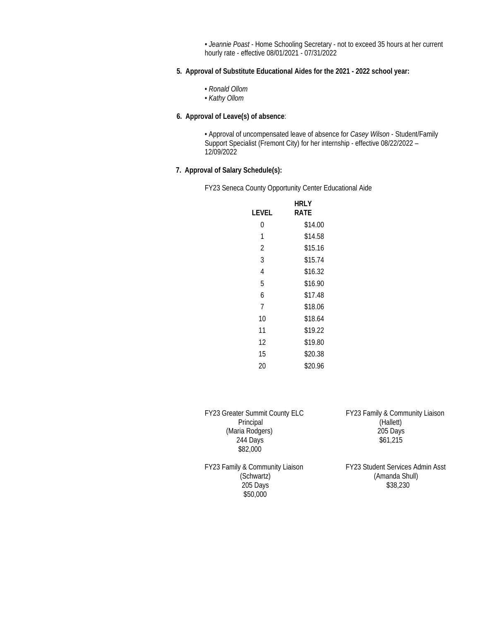• *Jeannie Poast* - Home Schooling Secretary - not to exceed 35 hours at her current hourly rate - effective 08/01/2021 - 07/31/2022

- **5. Approval of Substitute Educational Aides for the 2021 - 2022 school year:**
	- *Ronald Ollom*
	- *Kathy Ollom*

# **6. Approval of Leave(s) of absence**:

• Approval of uncompensated leave of absence for *Casey Wilson* - Student/Family Support Specialist (Fremont City) for her internship - effective 08/22/2022 – 12/09/2022

## **7. Approval of Salary Schedule(s):**

FY23 Seneca County Opportunity Center Educational Aide

|       | hri y   |
|-------|---------|
| LEVEL | RATF    |
| 0     | \$14.00 |
| 1     | \$14.58 |
| 2     | \$15.16 |
| 3     | \$15.74 |
| 4     | \$16.32 |
| 5     | \$16.90 |
| 6     | \$17.48 |
| 7     | \$18.06 |
| 10    | \$18.64 |
| 11    | \$19.22 |
| 12    | \$19.80 |
| 15    | \$20.38 |
| 20    | \$20.96 |
|       |         |

FY23 Greater Summit County ELC FY23 Family & Community Liaison<br>Principal (Hallett) Principal (Hallett) (Maria Rodgers) 205 Days<br>244 Days 361,215  $244$  Days \$82,000

FY23 Family & Community Liaison FY23 Student Services Admin Asst 205 Days \$50,000

(Schwartz) (Amanda Shull)<br>205 Days (38,230)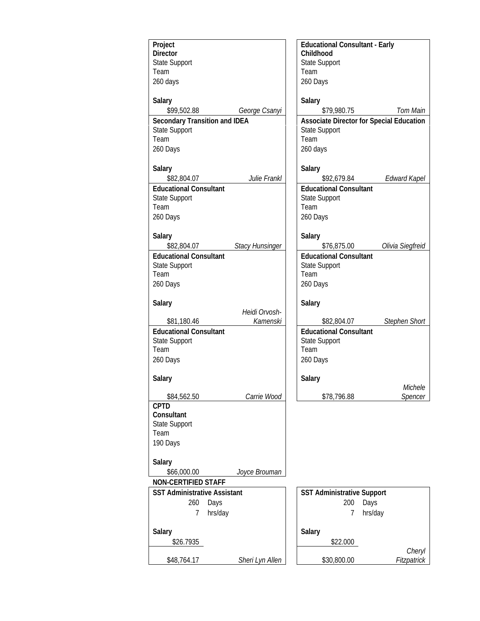| Project                               | <b>Educational Consultant - Early</b>           |
|---------------------------------------|-------------------------------------------------|
| <b>Director</b>                       | Childhood                                       |
| <b>State Support</b>                  | <b>State Support</b>                            |
| Team                                  | Team                                            |
| 260 days                              | 260 Days                                        |
|                                       |                                                 |
| Salary                                | Salary                                          |
| \$99,502.88<br>George Csanyi          | \$79,980.75<br>Tom Main                         |
| <b>Secondary Transition and IDEA</b>  | <b>Associate Director for Special Education</b> |
| State Support                         | State Support                                   |
| Team                                  | Team                                            |
|                                       |                                                 |
| 260 Days                              | 260 days                                        |
|                                       |                                                 |
| <b>Salary</b>                         | Salary                                          |
| Julie Frankl<br>\$82,804.07           | <b>Edward Kapel</b><br>\$92,679.84              |
| <b>Educational Consultant</b>         | <b>Educational Consultant</b>                   |
| <b>State Support</b>                  | State Support                                   |
| Team                                  | Team                                            |
| 260 Days                              | 260 Days                                        |
|                                       |                                                 |
| Salary                                | Salary                                          |
| <b>Stacy Hunsinger</b><br>\$82,804.07 | Olivia Siegfreid<br>\$76,875.00                 |
| <b>Educational Consultant</b>         | <b>Educational Consultant</b>                   |
| <b>State Support</b>                  | <b>State Support</b>                            |
| Team                                  | Team                                            |
|                                       |                                                 |
| 260 Days                              | 260 Days                                        |
|                                       |                                                 |
| Salary<br>Heidi Orvosh-               | Salary                                          |
| Kamenski<br>\$81,180.46               | <b>Stephen Short</b><br>\$82,804.07             |
|                                       |                                                 |
| <b>Educational Consultant</b>         | <b>Educational Consultant</b>                   |
| <b>State Support</b>                  | <b>State Support</b>                            |
| Team                                  | Team                                            |
| 260 Days                              | 260 Days                                        |
|                                       |                                                 |
| Salary                                | Salary                                          |
|                                       | Michele                                         |
| Carrie Wood<br>\$84,562.50            | \$78,796.88<br>Spencer                          |
| <b>CPTD</b>                           |                                                 |
| Consultant                            |                                                 |
| <b>State Support</b>                  |                                                 |
| Team                                  |                                                 |
| 190 Days                              |                                                 |
|                                       |                                                 |
| Salary                                |                                                 |
| \$66,000.00<br>Joyce Brouman          |                                                 |
| <b>NON-CERTIFIED STAFF</b>            |                                                 |
| <b>SST Administrative Assistant</b>   | <b>SST Administrative Support</b>               |
| 260<br>Days                           | 200<br>Days                                     |
| hrs/day<br>7                          | hrs/day<br>7                                    |
|                                       |                                                 |
| Salary                                | Salary                                          |
| \$26.7935                             | \$22.000                                        |
|                                       | Cheryl                                          |
| \$48,764.17<br>Sheri Lyn Allen        | Fitzpatrick<br>\$30,800.00                      |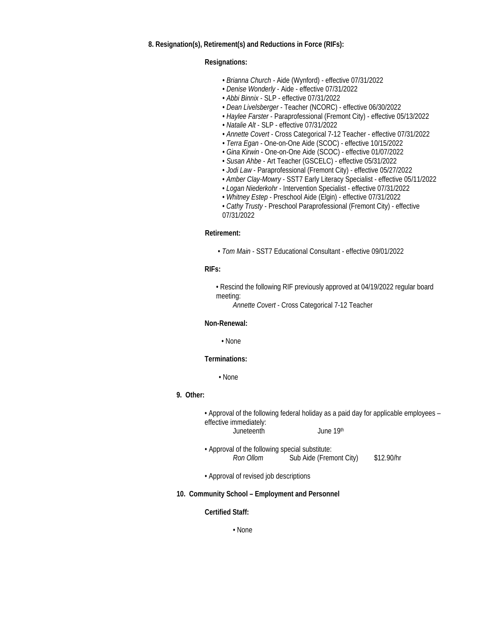#### **8. Resignation(s), Retirement(s) and Reductions in Force (RIFs):**

#### **Resignations:**

- *Brianna Church -* Aide (Wynford) effective 07/31/2022
- *Denise Wonderly* Aide effective 07/31/2022
- *Abbi Binnix* SLP effective 07/31/2022
- *Dean Livelsberger* Teacher (NCORC) effective 06/30/2022
- *Haylee Farster* Paraprofessional (Fremont City) effective 05/13/2022
- *Natalie Alt* SLP effective 07/31/2022
- *Annette Covert* Cross Categorical 7-12 Teacher effective 07/31/2022
- *Terra Egan* One-on-One Aide (SCOC) effective 10/15/2022
- *Gina Kirwin* One-on-One Aide (SCOC) effective 01/07/2022
- *Susan Ahbe* Art Teacher (GSCELC) effective 05/31/2022
- *Jodi Law* Paraprofessional (Fremont City) effective 05/27/2022
- *Amber Clay-Mowry* SST7 Early Literacy Specialist effective 05/11/2022
- *Logan Niederkohr* Intervention Specialist effective 07/31/2022
- *Whitney Estep* Preschool Aide (Elgin) effective 07/31/2022
- *Cathy Trusty* Preschool Paraprofessional (Fremont City) effective 07/31/2022

### **Retirement:**

• *Tom Main* - SST7 Educational Consultant - effective 09/01/2022

## **RIFs:**

 • Rescind the following RIF previously approved at 04/19/2022 regular board meeting:

*Annette Covert* - Cross Categorical 7-12 Teacher

## **Non-Renewal:**

• None

#### **Terminations:**

• None

#### **9. Other:**

• Approval of the following federal holiday as a paid day for applicable employees – effective immediately: Juneteenth June 19th

• Approval of the following special substitute:<br>Ron Ollom Sub Aide (Frem Sub Aide (Fremont City) \$12.90/hr

• Approval of revised job descriptions

#### **10. Community School – Employment and Personnel**

#### **Certified Staff:**